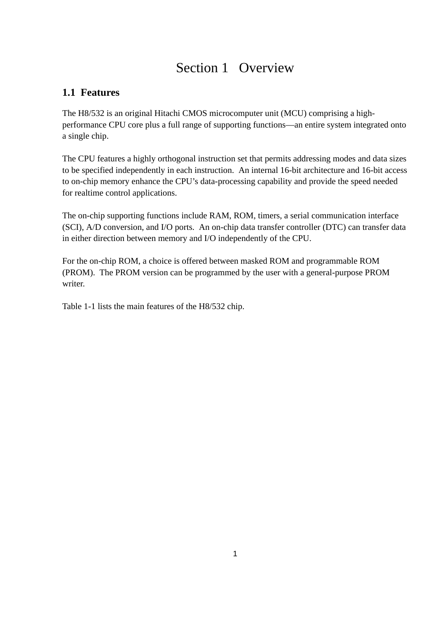# Section 1 Overview

# **1.1 Features**

The H8/532 is an original Hitachi CMOS microcomputer unit (MCU) comprising a highperformance CPU core plus a full range of supporting functions—an entire system integrated onto a single chip.

The CPU features a highly orthogonal instruction set that permits addressing modes and data sizes to be specified independently in each instruction. An internal 16-bit architecture and 16-bit access to on-chip memory enhance the CPU's data-processing capability and provide the speed needed for realtime control applications.

The on-chip supporting functions include RAM, ROM, timers, a serial communication interface (SCI), A/D conversion, and I/O ports. An on-chip data transfer controller (DTC) can transfer data in either direction between memory and I/O independently of the CPU.

For the on-chip ROM, a choice is offered between masked ROM and programmable ROM (PROM). The PROM version can be programmed by the user with a general-purpose PROM writer.

Table 1-1 lists the main features of the H8/532 chip.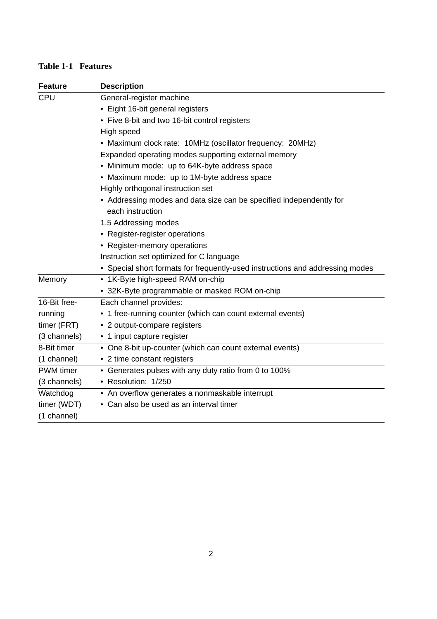#### **Table 1-1 Features**

| <b>Feature</b>   | <b>Description</b>                                                            |
|------------------|-------------------------------------------------------------------------------|
| <b>CPU</b>       | General-register machine                                                      |
|                  | • Eight 16-bit general registers                                              |
|                  | • Five 8-bit and two 16-bit control registers                                 |
|                  | High speed                                                                    |
|                  | • Maximum clock rate: 10MHz (oscillator frequency: 20MHz)                     |
|                  | Expanded operating modes supporting external memory                           |
|                  | • Minimum mode: up to 64K-byte address space                                  |
|                  | • Maximum mode: up to 1M-byte address space                                   |
|                  | Highly orthogonal instruction set                                             |
|                  | • Addressing modes and data size can be specified independently for           |
|                  | each instruction                                                              |
|                  | 1.5 Addressing modes                                                          |
|                  | • Register-register operations                                                |
|                  | • Register-memory operations                                                  |
|                  | Instruction set optimized for C language                                      |
|                  | • Special short formats for frequently-used instructions and addressing modes |
| Memory           | • 1K-Byte high-speed RAM on-chip                                              |
|                  | • 32K-Byte programmable or masked ROM on-chip                                 |
| 16-Bit free-     | Each channel provides:                                                        |
| running          | • 1 free-running counter (which can count external events)                    |
| timer (FRT)      | • 2 output-compare registers                                                  |
| (3 channels)     | • 1 input capture register                                                    |
| 8-Bit timer      | • One 8-bit up-counter (which can count external events)                      |
| (1 channel)      | • 2 time constant registers                                                   |
| <b>PWM</b> timer | • Generates pulses with any duty ratio from 0 to 100%                         |
| (3 channels)     | • Resolution: 1/250                                                           |
| Watchdog         | • An overflow generates a nonmaskable interrupt                               |
| timer (WDT)      | • Can also be used as an interval timer                                       |
| (1 channel)      |                                                                               |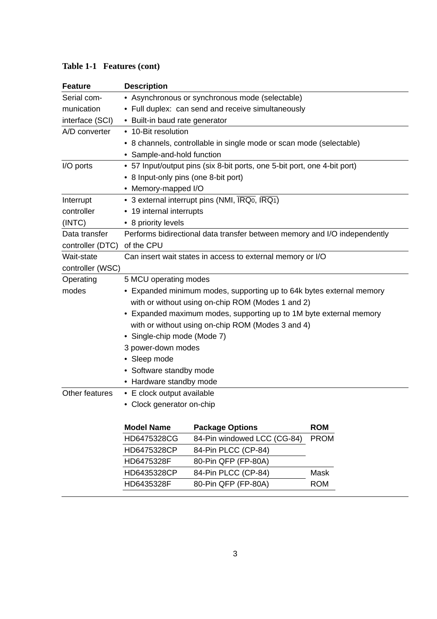| <b>Feature</b>   | <b>Description</b>                                                  |                                                                                         |             |  |  |  |  |
|------------------|---------------------------------------------------------------------|-----------------------------------------------------------------------------------------|-------------|--|--|--|--|
| Serial com-      | • Asynchronous or synchronous mode (selectable)                     |                                                                                         |             |  |  |  |  |
| munication       | • Full duplex: can send and receive simultaneously                  |                                                                                         |             |  |  |  |  |
| interface (SCI)  | • Built-in baud rate generator                                      |                                                                                         |             |  |  |  |  |
| A/D converter    | • 10-Bit resolution                                                 |                                                                                         |             |  |  |  |  |
|                  | • 8 channels, controllable in single mode or scan mode (selectable) |                                                                                         |             |  |  |  |  |
|                  | • Sample-and-hold function                                          |                                                                                         |             |  |  |  |  |
| I/O ports        |                                                                     | • 57 Input/output pins (six 8-bit ports, one 5-bit port, one 4-bit port)                |             |  |  |  |  |
|                  | • 8 Input-only pins (one 8-bit port)                                |                                                                                         |             |  |  |  |  |
|                  | • Memory-mapped I/O                                                 |                                                                                         |             |  |  |  |  |
| Interrupt        |                                                                     | • 3 external interrupt pins (NMI, $\overline{\text{IRQ0}}$ , $\overline{\text{IRQ1}}$ ) |             |  |  |  |  |
| controller       | • 19 internal interrupts                                            |                                                                                         |             |  |  |  |  |
| (INTC)           | • 8 priority levels                                                 |                                                                                         |             |  |  |  |  |
| Data transfer    |                                                                     | Performs bidirectional data transfer between memory and I/O independently               |             |  |  |  |  |
| controller (DTC) | of the CPU                                                          |                                                                                         |             |  |  |  |  |
| Wait-state       |                                                                     | Can insert wait states in access to external memory or I/O                              |             |  |  |  |  |
| controller (WSC) |                                                                     |                                                                                         |             |  |  |  |  |
| Operating        | 5 MCU operating modes                                               |                                                                                         |             |  |  |  |  |
| modes            |                                                                     | • Expanded minimum modes, supporting up to 64k bytes external memory                    |             |  |  |  |  |
|                  |                                                                     | with or without using on-chip ROM (Modes 1 and 2)                                       |             |  |  |  |  |
|                  |                                                                     | • Expanded maximum modes, supporting up to 1M byte external memory                      |             |  |  |  |  |
|                  |                                                                     | with or without using on-chip ROM (Modes 3 and 4)                                       |             |  |  |  |  |
|                  | • Single-chip mode (Mode 7)                                         |                                                                                         |             |  |  |  |  |
|                  | 3 power-down modes                                                  |                                                                                         |             |  |  |  |  |
|                  | • Sleep mode                                                        |                                                                                         |             |  |  |  |  |
|                  | • Software standby mode                                             |                                                                                         |             |  |  |  |  |
|                  | • Hardware standby mode                                             |                                                                                         |             |  |  |  |  |
| Other features   | • E clock output available                                          |                                                                                         |             |  |  |  |  |
|                  | • Clock generator on-chip                                           |                                                                                         |             |  |  |  |  |
|                  |                                                                     |                                                                                         |             |  |  |  |  |
|                  | <b>Model Name</b>                                                   | <b>Package Options</b>                                                                  | <b>ROM</b>  |  |  |  |  |
|                  | HD6475328CG                                                         | 84-Pin windowed LCC (CG-84)                                                             | <b>PROM</b> |  |  |  |  |
|                  | HD6475328CP                                                         | 84-Pin PLCC (CP-84)                                                                     |             |  |  |  |  |
|                  | HD6475328F                                                          | 80-Pin QFP (FP-80A)                                                                     |             |  |  |  |  |

### **Table 1-1 Features (cont)**

HD6435328CP 84-Pin PLCC (CP-84) Mask HD6435328F 80-Pin QFP (FP-80A) ROM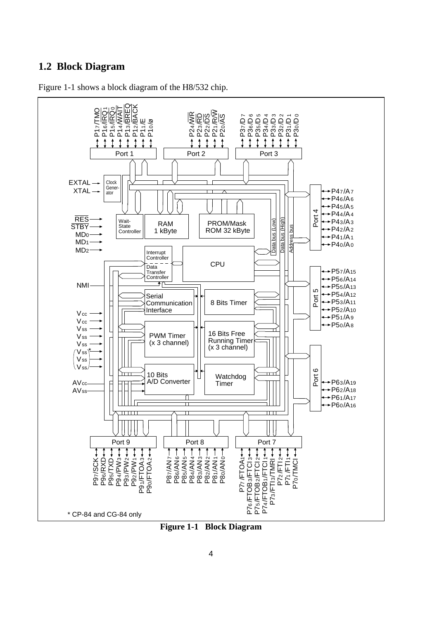### **1.2 Block Diagram**



Figure 1-1 shows a block diagram of the H8/532 chip.

**Figure 1-1 Block Diagram**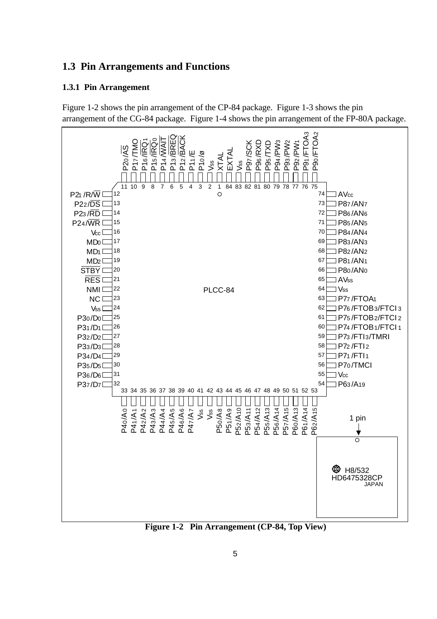# **1.3 Pin Arrangements and Functions**

# **1.3.1 Pin Arrangement**

Figure 1-2 shows the pin arrangement of the CP-84 package. Figure 1-3 shows the pin arrangement of the CG-84 package. Figure 1-4 shows the pin arrangement of the FP-80A package.



**Figure 1-2 Pin Arrangement (CP-84, Top View)**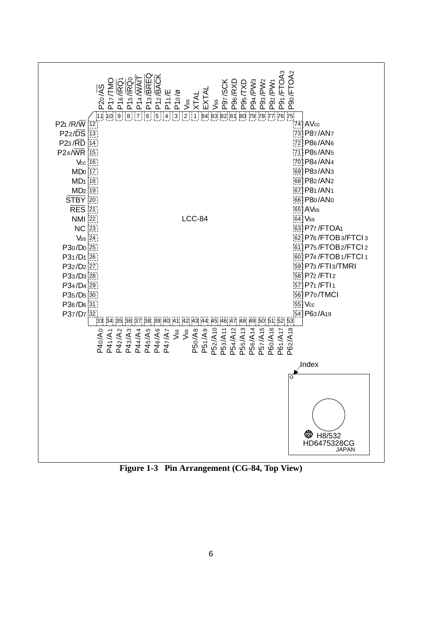

**Figure 1-3 Pin Arrangement (CG-84, Top View)**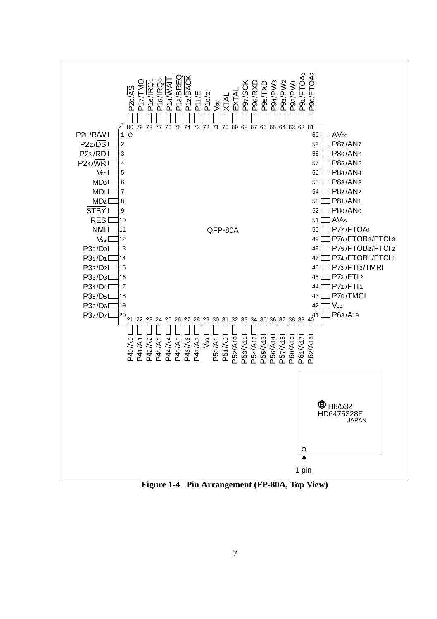

**Figure 1-4 Pin Arrangement (FP-80A, Top View)**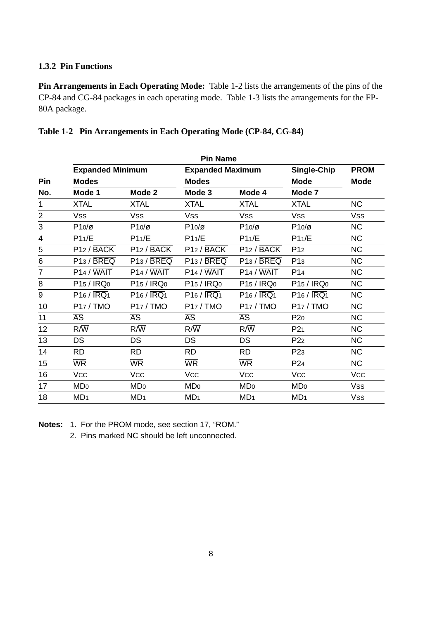#### **1.3.2 Pin Functions**

**Pin Arrangements in Each Operating Mode:** Table 1-2 lists the arrangements of the pins of the CP-84 and CG-84 packages in each operating mode. Table 1-3 lists the arrangements for the FP-80A package.

|                  |                             |                          | <b>Pin Name</b>         |                             |                         |                |
|------------------|-----------------------------|--------------------------|-------------------------|-----------------------------|-------------------------|----------------|
|                  | <b>Expanded Minimum</b>     |                          | <b>Expanded Maximum</b> |                             | Single-Chip             | <b>PROM</b>    |
| <b>Pin</b>       | <b>Modes</b>                |                          | <b>Modes</b>            |                             | <b>Mode</b>             | <b>Mode</b>    |
| No.              | Mode 1                      | Mode 2                   | Mode 3                  | Mode 4                      | Mode 7                  |                |
| 1                | <b>XTAL</b>                 | <b>XTAL</b>              | <b>XTAL</b>             | <b>XTAL</b>                 | <b>XTAL</b>             | NC             |
| $\overline{c}$   | Vss                         | Vss                      | <b>Vss</b>              | <b>Vss</b>                  | Vss                     | Vss            |
| 3                | $P10/\sigma$                | $P10/\varnothing$        | $P10/\varnothing$       | $P10/\varnothing$           | $P10/\alpha$            | NC.            |
| 4                | P11/E                       | P11/E                    | P11/E                   | P11/E                       | P11/E                   | NC             |
| 5                | P12 / BACK                  | P12 / BACK               | P12 / BACK              | P12 / BACK                  | P <sub>12</sub>         | NC             |
| 6                | P13 / BREQ                  | P13 / BREQ               | P13 / BREQ              | P13 / BREQ                  | P <sub>13</sub>         | <b>NC</b>      |
| 7                | P14 / WAIT                  | P <sub>14</sub> / WAIT   | P14 / WAIT              | $P14 / \overline{WAIT}$     | P <sub>14</sub>         | NC             |
| 8                | P15 / IRQ <sub>0</sub>      | $P15 / \overline{IRQ0}$  | P15 / IRQ <sub>0</sub>  | $P15 / \overline{IRQ0}$     | $P15 / \overline{IRQ0}$ | N <sub>C</sub> |
| $\boldsymbol{9}$ | $P16 / \overline{IRQ1}$     | $P16 / \overline{IRQ1}$  | P16 / IRQ1              | $P16 / \overline{IRQ1}$     | P16 / IRQ1              | NC             |
| 10               | P17/TMO                     | P17 / TMO                | P17/TMO                 | P17/TMO                     | P17 / TMO               | NC             |
| 11               | $\overline{\mathsf{AS}}$    | $\overline{\mathsf{AS}}$ | $\overline{AS}$         | $\overline{\mathsf{AS}}$    | P20                     | NC             |
| 12               | $R/\overline{W}$            | $R/\overline{W}$         | $R/\overline{W}$        | $R/\overline{W}$            | P <sub>21</sub>         | NC             |
| 13               | $\overline{DS}$             | $\overline{\text{DS}}$   | $\overline{\text{DS}}$  | $\overline{\text{DS}}$      | P <sub>22</sub>         | NC             |
| 14               | <b>RD</b>                   | $\overline{RD}$          | RD                      | $\overline{RD}$             | P <sub>23</sub>         | NC             |
| 15               | <b>WR</b>                   | <b>WR</b>                | <b>WR</b>               | <b>WR</b>                   | P <sub>24</sub>         | NC             |
| 16               | <b>Vcc</b>                  | <b>Vcc</b>               | <b>Vcc</b>              | <b>Vcc</b>                  | <b>Vcc</b>              | <b>Vcc</b>     |
| 17               | M <sub>D</sub> <sub>0</sub> | MD <sub>0</sub>          | MD <sub>0</sub>         | M <sub>D</sub> <sub>0</sub> | MD <sub>0</sub>         | <b>Vss</b>     |
| 18               | MD <sub>1</sub>             | MD <sub>1</sub>          | MD <sub>1</sub>         | MD <sub>1</sub>             | MD <sub>1</sub>         | <b>Vss</b>     |

#### **Table 1-2 Pin Arrangements in Each Operating Mode (CP-84, CG-84)**

**Notes:** 1. For the PROM mode, see section 17, "ROM."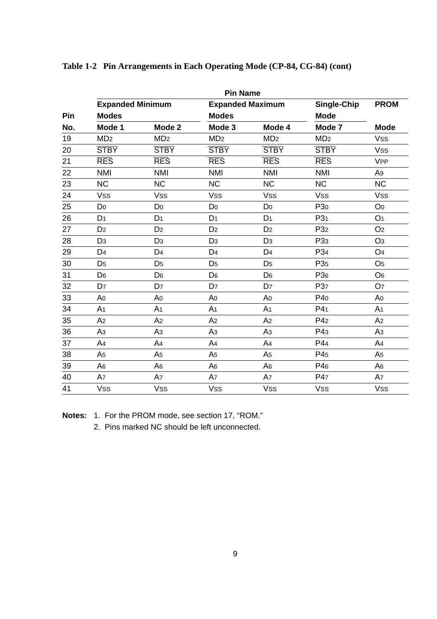|     | <b>Pin Name</b>         |                 |                         |                 |                 |                       |  |  |
|-----|-------------------------|-----------------|-------------------------|-----------------|-----------------|-----------------------|--|--|
|     | <b>Expanded Minimum</b> |                 | <b>Expanded Maximum</b> |                 | Single-Chip     | <b>PROM</b>           |  |  |
| Pin | <b>Modes</b>            |                 | <b>Modes</b>            |                 | <b>Mode</b>     |                       |  |  |
| No. | Mode 1                  | Mode 2          | Mode 3                  | Mode 4          | Mode 7          |                       |  |  |
| 19  | MD <sub>2</sub>         | MD <sub>2</sub> | MD <sub>2</sub>         | MD <sub>2</sub> | MD <sub>2</sub> | <b>Vss</b>            |  |  |
| 20  | <b>STBY</b>             | <b>STBY</b>     | <b>STBY</b>             | <b>STBY</b>     | <b>STBY</b>     | <b>Vss</b>            |  |  |
| 21  | <b>RES</b>              | <b>RES</b>      | <b>RES</b>              | <b>RES</b>      | <b>RES</b>      | <b>V<sub>PP</sub></b> |  |  |
| 22  | <b>NMI</b>              | <b>NMI</b>      | <b>NMI</b>              | <b>NMI</b>      | <b>NMI</b>      | A <sub>9</sub>        |  |  |
| 23  | <b>NC</b>               | <b>NC</b>       | <b>NC</b>               | <b>NC</b>       | <b>NC</b>       | <b>NC</b>             |  |  |
| 24  | <b>Vss</b>              | <b>Vss</b>      | <b>Vss</b>              | <b>Vss</b>      | <b>Vss</b>      | Vss                   |  |  |
| 25  | D <sub>0</sub>          | D <sub>0</sub>  | D <sub>0</sub>          | D <sub>0</sub>  | P <sub>30</sub> | O <sub>0</sub>        |  |  |
| 26  | D <sub>1</sub>          | D <sub>1</sub>  | D <sub>1</sub>          | D <sub>1</sub>  | P <sub>31</sub> | O <sub>1</sub>        |  |  |
| 27  | D <sub>2</sub>          | D <sub>2</sub>  | D <sub>2</sub>          | D <sub>2</sub>  | P32             | O <sub>2</sub>        |  |  |
| 28  | D <sub>3</sub>          | D <sub>3</sub>  | D <sub>3</sub>          | D <sub>3</sub>  | P <sub>33</sub> | O <sub>3</sub>        |  |  |
| 29  | D <sub>4</sub>          | D <sub>4</sub>  | D <sub>4</sub>          | D <sub>4</sub>  | P34             | O <sub>4</sub>        |  |  |
| 30  | D <sub>5</sub>          | D <sub>5</sub>  | D <sub>5</sub>          | D <sub>5</sub>  | P <sub>35</sub> | O <sub>5</sub>        |  |  |
| 31  | D <sub>6</sub>          | D <sub>6</sub>  | D <sub>6</sub>          | D <sub>6</sub>  | P <sub>36</sub> | O <sub>6</sub>        |  |  |
| 32  | D <sub>7</sub>          | D <sub>7</sub>  | D <sub>7</sub>          | D <sub>7</sub>  | P37             | O <sub>7</sub>        |  |  |
| 33  | A <sub>0</sub>          | A <sub>0</sub>  | A <sub>0</sub>          | A <sub>0</sub>  | P40             | A <sub>0</sub>        |  |  |
| 34  | A <sub>1</sub>          | A <sub>1</sub>  | A <sub>1</sub>          | A <sub>1</sub>  | P4 <sub>1</sub> | A <sub>1</sub>        |  |  |
| 35  | A <sub>2</sub>          | A <sub>2</sub>  | A <sub>2</sub>          | A <sub>2</sub>  | P4 <sub>2</sub> | A <sub>2</sub>        |  |  |
| 36  | A <sub>3</sub>          | A <sub>3</sub>  | A <sub>3</sub>          | A <sub>3</sub>  | P43             | A <sub>3</sub>        |  |  |
| 37  | A <sub>4</sub>          | A <sub>4</sub>  | A <sub>4</sub>          | A4              | P44             | A <sub>4</sub>        |  |  |
| 38  | A <sub>5</sub>          | A <sub>5</sub>  | A <sub>5</sub>          | A <sub>5</sub>  | P45             | A <sub>5</sub>        |  |  |
| 39  | A <sub>6</sub>          | A <sub>6</sub>  | A <sub>6</sub>          | A <sub>6</sub>  | P46             | A <sub>6</sub>        |  |  |
| 40  | A7                      | A7              | A7                      | A7              | P47             | A7                    |  |  |
| 41  | <b>Vss</b>              | <b>Vss</b>      | <b>Vss</b>              | <b>Vss</b>      | <b>Vss</b>      | <b>Vss</b>            |  |  |

#### **Table 1-2 Pin Arrangements in Each Operating Mode (CP-84, CG-84) (cont)**

**Notes:** 1. For the PROM mode, see section 17, "ROM."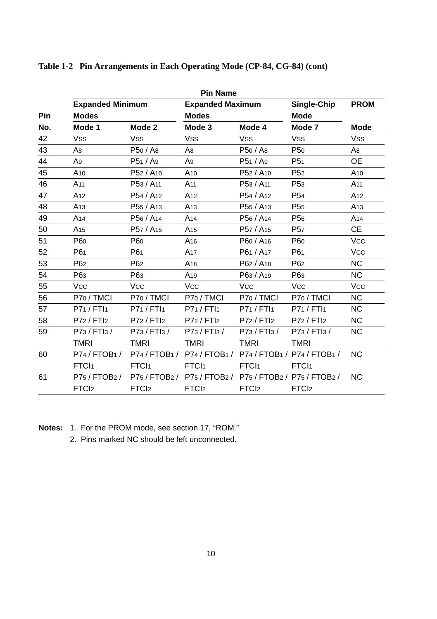|     | <b>Expanded Minimum</b> |                                   | <b>Expanded Maximum</b>                     |                                           | Single-Chip       | <b>PROM</b>     |  |
|-----|-------------------------|-----------------------------------|---------------------------------------------|-------------------------------------------|-------------------|-----------------|--|
| Pin | <b>Modes</b>            |                                   | <b>Modes</b>                                |                                           | <b>Mode</b>       |                 |  |
| No. | Mode 1                  | Mode 2                            | Mode 3                                      | Mode 4                                    | Mode 7            | <b>Mode</b>     |  |
| 42  | <b>Vss</b>              | <b>Vss</b>                        | <b>Vss</b>                                  | <b>Vss</b>                                | <b>Vss</b>        | <b>Vss</b>      |  |
| 43  | A <sub>8</sub>          | P50 / A8                          | A <sub>8</sub>                              | P50 / A8                                  | P <sub>50</sub>   | A <sub>8</sub>  |  |
| 44  | A9                      | P51 / A9                          | A9                                          | P51 / A9                                  | P <sub>51</sub>   | <b>OE</b>       |  |
| 45  | A <sub>10</sub>         | P52 / A10                         | A10                                         | P52 / A10                                 | P <sub>52</sub>   | A <sub>10</sub> |  |
| 46  | A <sub>11</sub>         | P53 / A11                         | A <sub>11</sub>                             | P53 / A <sub>11</sub>                     | P <sub>53</sub>   | A <sub>11</sub> |  |
| 47  | A <sub>12</sub>         | P54 / A <sub>12</sub>             | A <sub>12</sub>                             | P54 / A <sub>12</sub>                     | P <sub>54</sub>   | A <sub>12</sub> |  |
| 48  | A <sub>13</sub>         | P <sub>55</sub> / A <sub>13</sub> | A <sub>13</sub>                             | P <sub>55</sub> / A <sub>13</sub>         | P <sub>55</sub>   | A <sub>13</sub> |  |
| 49  | A <sub>14</sub>         | P56 / A <sub>14</sub>             | A <sub>14</sub>                             | P56 / A <sub>14</sub>                     | P <sub>56</sub>   | A <sub>14</sub> |  |
| 50  | A <sub>15</sub>         | P57 / A <sub>15</sub>             | A <sub>15</sub>                             | P57 / A <sub>15</sub>                     | P <sub>57</sub>   | CE              |  |
| 51  | P60                     | P <sub>60</sub>                   | A <sub>16</sub>                             | P60 / A <sub>16</sub>                     | P60               | <b>Vcc</b>      |  |
| 52  | P61                     | P61                               | A <sub>17</sub>                             | P61 / A17                                 | P61               | <b>Vcc</b>      |  |
| 53  | P <sub>62</sub>         | P <sub>62</sub>                   | A <sub>18</sub>                             | P62 / A18                                 | P <sub>62</sub>   | <b>NC</b>       |  |
| 54  | P63                     | P63                               | A <sub>19</sub>                             | P63 / A19                                 | P63               | <b>NC</b>       |  |
| 55  | <b>Vcc</b>              | <b>Vcc</b>                        | <b>Vcc</b>                                  | <b>Vcc</b>                                | <b>Vcc</b>        | <b>Vcc</b>      |  |
| 56  | P70 / TMCI              | P70 / TMCI                        | P70 / TMCI                                  | P70 / TMCI                                | P70 / TMCI        | <b>NC</b>       |  |
| 57  | P71 / FTI1              | P71 / FTI1                        | P71/FTI1                                    | P71 / FTI1                                | P71 / FTI1        | <b>NC</b>       |  |
| 58  | P72 / FTI2              | P72 / FTI2                        | P72 / FTI2                                  | P72 / FTI2                                | P72 / FTI2        | <b>NC</b>       |  |
| 59  | P73 / FTI3 /            | P73 / FTI3 /                      | P73 / FTI3 /                                | P73 / FTI3 /                              | P73 / FTI3 /      | <b>NC</b>       |  |
|     | <b>TMRI</b>             | <b>TMRI</b>                       | <b>TMRI</b>                                 | <b>TMRI</b>                               | <b>TMRI</b>       |                 |  |
| 60  | P74/FTOB1/              |                                   | P74/FTOB1/ P74/FTOB1/ P74/FTOB1/ P74/FTOB1/ |                                           |                   | <b>NC</b>       |  |
|     | FTC <sub>1</sub>        | FTCI <sub>1</sub>                 | FTCI <sub>1</sub>                           | FTCI <sub>1</sub>                         | FTCI <sub>1</sub> |                 |  |
| 61  | P75 / FTOB2 /           | P75 / FTOB2 /                     |                                             | P75 / FTOB2 / P75 / FTOB2 / P75 / FTOB2 / |                   | <b>NC</b>       |  |
|     | FTC <sub>12</sub>       | FTC <sub>l2</sub>                 | FTC <sub>12</sub>                           | FTC <sub>l2</sub>                         | FTC <sub>12</sub> |                 |  |

#### **Table 1-2 Pin Arrangements in Each Operating Mode (CP-84, CG-84) (cont)**

**Notes:** 1. For the PROM mode, see section 17, "ROM."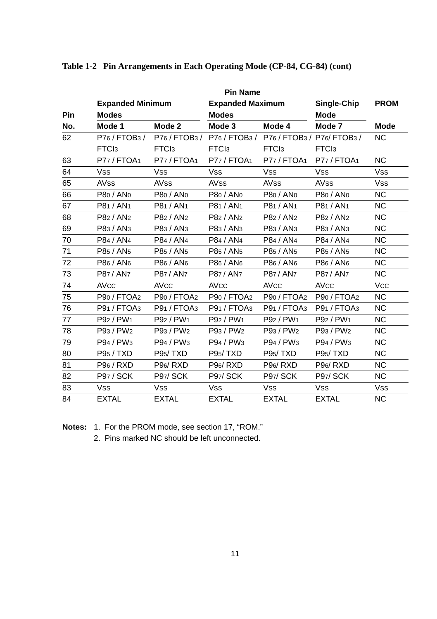|     |                         |                       | <b>Pin Name</b>                           |                                   |                                  |                |
|-----|-------------------------|-----------------------|-------------------------------------------|-----------------------------------|----------------------------------|----------------|
|     | <b>Expanded Minimum</b> |                       | <b>Expanded Maximum</b>                   |                                   | Single-Chip                      | <b>PROM</b>    |
| Pin | <b>Modes</b>            |                       | <b>Modes</b>                              |                                   | <b>Mode</b>                      |                |
| No. | Mode 1                  | Mode 2                | Mode 3                                    | Mode 4                            | Mode 7                           | Mode           |
| 62  | P76 / FTOB3 /           | P76 / FTOB3 /         | P76 / FTOB3 / P76 / FTOB3 / P76 / FTOB3 / |                                   |                                  | <b>NC</b>      |
|     | FTC <sub>l3</sub>       | FTC <sub>13</sub>     | FTC <sub>13</sub>                         | FTC <sub>l3</sub>                 | FTC <sub>l3</sub>                |                |
| 63  | P77 / FTOA1             | P77 / FTOA1           | P77 / FTOA1                               | P77 / FTOA1                       | P77 / FTOA1                      | <b>NC</b>      |
| 64  | <b>Vss</b>              | <b>Vss</b>            | <b>Vss</b>                                | <b>Vss</b>                        | <b>Vss</b>                       | <b>Vss</b>     |
| 65  | <b>AVss</b>             | <b>AVss</b>           | <b>AVSS</b>                               | <b>AVSS</b>                       | <b>AVss</b>                      | <b>Vss</b>     |
| 66  | P80 / AN <sub>0</sub>   | P80 / AN <sub>0</sub> | P80 / AN <sub>0</sub>                     | P <sub>80</sub> / AN <sub>0</sub> | P80 / AN <sub>0</sub>            | <b>NC</b>      |
| 67  | P81 / AN <sub>1</sub>   | P81 / AN <sub>1</sub> | P81 / AN <sub>1</sub>                     | P81 / AN <sub>1</sub>             | P81 / AN <sub>1</sub>            | N <sub>C</sub> |
| 68  | P82 / AN <sub>2</sub>   | P82 / AN <sub>2</sub> | P82 / AN <sub>2</sub>                     | P82 / AN <sub>2</sub>             | P82 / AN <sub>2</sub>            | <b>NC</b>      |
| 69  | P83 / AN <sub>3</sub>   | P83 / AN <sub>3</sub> | P83 / AN <sub>3</sub>                     | P83 / AN <sub>3</sub>             | P83 / AN <sub>3</sub>            | <b>NC</b>      |
| 70  | P84 / AN4               | P84 / AN4             | P84 / AN4                                 | P84 / AN4                         | P84 / AN4                        | <b>NC</b>      |
| 71  | P85 / AN5               | P85 / AN5             | P85 / AN5                                 | P85 / AN <sub>5</sub>             | P85 / AN5                        | <b>NC</b>      |
| 72  | P86 / AN <sub>6</sub>   | P86 / AN <sub>6</sub> | P86 / AN <sub>6</sub>                     | P86 / AN <sub>6</sub>             | P86 / AN <sub>6</sub>            | <b>NC</b>      |
| 73  | P87 / AN7               | P87 / AN7             | P87 / AN7                                 | P87 / AN7                         | P87 / AN7                        | <b>NC</b>      |
| 74  | <b>AVcc</b>             | <b>AVcc</b>           | <b>AVcc</b>                               | <b>AVCC</b>                       | <b>AVcc</b>                      | <b>Vcc</b>     |
| 75  | P90 / FTOA2             | P90 / FTOA2           | P90 / FTOA2                               | P90 / FTOA2                       | P90 / FTOA2                      | <b>NC</b>      |
| 76  | P91 / FTOA3             | P91 / FTOA3           | P91 / FTOA3                               | P91 / FTOA3                       | P91 / FTOA3                      | <b>NC</b>      |
| 77  | P92 / PW1               | P92 / PW1             | P92 / PW1                                 | P92 / PW1                         | P92 / PW1                        | <b>NC</b>      |
| 78  | P93 / PW <sub>2</sub>   | P93 / PW2             | P93 / PW <sub>2</sub>                     | P93 / PW <sub>2</sub>             | P93 / PW2                        | <b>NC</b>      |
| 79  | P94 / PW3               | P94 / PW3             | P94 / PW <sub>3</sub>                     | P94 / PW <sub>3</sub>             | P94 / PW <sub>3</sub>            | <b>NC</b>      |
| 80  | P95 / TXD               | P95/TXD               | P95/TXD                                   | P95/TXD                           | P95/TXD                          | <b>NC</b>      |
| 81  | P96 / RXD               | P96/RXD               | P96/RXD                                   | P96/RXD                           | P <sub>96</sub> /R <sub>XD</sub> | <b>NC</b>      |
| 82  | P97 / SCK               | <b>P97/ SCK</b>       | <b>P97/ SCK</b>                           | P97/SCK                           | P97/SCK                          | <b>NC</b>      |
| 83  | <b>Vss</b>              | <b>Vss</b>            | <b>Vss</b>                                | Vss                               | Vss                              | <b>Vss</b>     |
| 84  | <b>EXTAL</b>            | <b>EXTAL</b>          | <b>EXTAL</b>                              | <b>EXTAL</b>                      | <b>EXTAL</b>                     | <b>NC</b>      |

#### **Table 1-2 Pin Arrangements in Each Operating Mode (CP-84, CG-84) (cont)**

**Notes:** 1. For the PROM mode, see section 17, "ROM."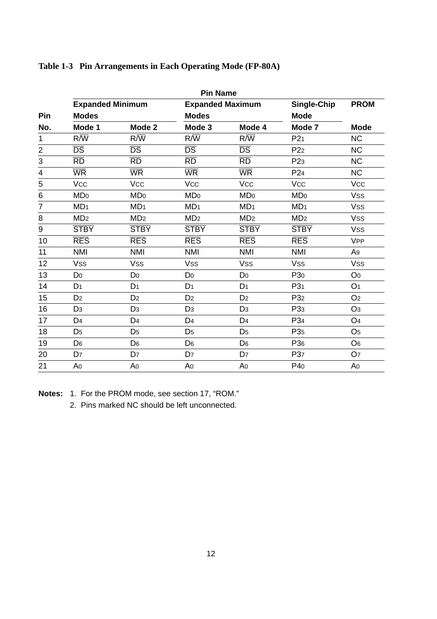|                |                             |                             | <b>Pin Name</b>             |                             |                 |                       |
|----------------|-----------------------------|-----------------------------|-----------------------------|-----------------------------|-----------------|-----------------------|
|                | <b>Expanded Minimum</b>     |                             | <b>Expanded Maximum</b>     |                             | Single-Chip     | <b>PROM</b>           |
| Pin            | <b>Modes</b>                |                             | <b>Modes</b>                |                             | <b>Mode</b>     |                       |
| No.            | Mode 1                      | Mode 2                      | Mode 3                      | Mode 4                      | Mode 7          | <b>Mode</b>           |
| 1              | $R/\sqrt{W}$                | $R/\overline{W}$            | $R/\overline{W}$            | $R/\overline{W}$            | P21             | <b>NC</b>             |
| $\overline{c}$ | $\overline{\text{DS}}$      | $\overline{\text{DS}}$      | $\overline{DS}$             | $\overline{\text{DS}}$      | P <sub>22</sub> | <b>NC</b>             |
| 3              | $\overline{RD}$             | $\overline{RD}$             | $\overline{RD}$             | $\overline{\text{RD}}$      | P <sub>23</sub> | NC                    |
| 4              | <b>WR</b>                   | <b>WR</b>                   | <b>WR</b>                   | <b>WR</b>                   | P <sub>24</sub> | NC                    |
| 5              | Vcc                         | <b>Vcc</b>                  | <b>Vcc</b>                  | <b>Vcc</b>                  | <b>Vcc</b>      | <b>Vcc</b>            |
| $\,6$          | M <sub>D</sub> <sub>0</sub> | M <sub>D</sub> <sub>0</sub> | M <sub>D</sub> <sub>0</sub> | M <sub>D</sub> <sub>0</sub> | <b>MDo</b>      | <b>Vss</b>            |
| 7              | MD <sub>1</sub>             | MD <sub>1</sub>             | MD <sub>1</sub>             | MD <sub>1</sub>             | MD <sub>1</sub> | <b>Vss</b>            |
| 8              | MD <sub>2</sub>             | MD <sub>2</sub>             | MD <sub>2</sub>             | MD <sub>2</sub>             | MD <sub>2</sub> | <b>Vss</b>            |
| 9              | <b>STBY</b>                 | <b>STBY</b>                 | <b>STBY</b>                 | <b>STBY</b>                 | <b>STBY</b>     | <b>Vss</b>            |
| 10             | <b>RES</b>                  | <b>RES</b>                  | <b>RES</b>                  | <b>RES</b>                  | <b>RES</b>      | <b>V<sub>PP</sub></b> |
| 11             | <b>NMI</b>                  | <b>NMI</b>                  | <b>NMI</b>                  | <b>NMI</b>                  | <b>NMI</b>      | A <sub>9</sub>        |
| 12             | <b>Vss</b>                  | <b>Vss</b>                  | <b>Vss</b>                  | <b>Vss</b>                  | <b>Vss</b>      | <b>Vss</b>            |
| 13             | D <sub>0</sub>              | D <sub>0</sub>              | D <sub>0</sub>              | D <sub>0</sub>              | P <sub>30</sub> | O <sub>0</sub>        |
| 14             | D <sub>1</sub>              | D <sub>1</sub>              | D <sub>1</sub>              | D <sub>1</sub>              | P3 <sub>1</sub> | O <sub>1</sub>        |
| 15             | D <sub>2</sub>              | D <sub>2</sub>              | D <sub>2</sub>              | D <sub>2</sub>              | P <sub>32</sub> | O <sub>2</sub>        |
| 16             | D <sub>3</sub>              | D <sub>3</sub>              | D <sub>3</sub>              | D <sub>3</sub>              | P <sub>33</sub> | O <sub>3</sub>        |
| 17             | D <sub>4</sub>              | D <sub>4</sub>              | D <sub>4</sub>              | D <sub>4</sub>              | P34             | O <sub>4</sub>        |
| 18             | D <sub>5</sub>              | D <sub>5</sub>              | D <sub>5</sub>              | D <sub>5</sub>              | P <sub>35</sub> | O <sub>5</sub>        |
| 19             | D <sub>6</sub>              | D <sub>6</sub>              | D <sub>6</sub>              | D <sub>6</sub>              | P <sub>36</sub> | O <sub>6</sub>        |
| 20             | D <sub>7</sub>              | D <sub>7</sub>              | D <sub>7</sub>              | D7                          | P <sub>37</sub> | O7                    |
| 21             | A0                          | A <sub>0</sub>              | A0                          | A0                          | P40             | A <sub>0</sub>        |

#### **Table 1-3 Pin Arrangements in Each Operating Mode (FP-80A)**

**Notes:** 1. For the PROM mode, see section 17, "ROM."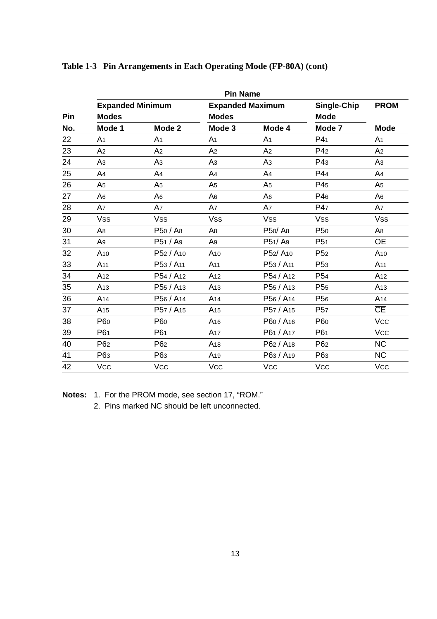|     | <b>Pin Name</b>         |                       |                         |                       |                 |                        |  |  |  |  |
|-----|-------------------------|-----------------------|-------------------------|-----------------------|-----------------|------------------------|--|--|--|--|
|     | <b>Expanded Minimum</b> |                       | <b>Expanded Maximum</b> |                       | Single-Chip     | <b>PROM</b>            |  |  |  |  |
| Pin | <b>Modes</b>            |                       | <b>Modes</b>            |                       | <b>Mode</b>     |                        |  |  |  |  |
| No. | Mode 1                  | Mode 2                | Mode 3                  | Mode 4                | Mode 7          | <b>Mode</b>            |  |  |  |  |
| 22  | A1                      | A <sub>1</sub>        | A <sub>1</sub>          | A <sub>1</sub>        | P4 <sub>1</sub> | A <sub>1</sub>         |  |  |  |  |
| 23  | A <sub>2</sub>          | A2                    | A <sub>2</sub>          | A <sub>2</sub>        | P4 <sub>2</sub> | A <sub>2</sub>         |  |  |  |  |
| 24  | A <sub>3</sub>          | Aз                    | Αз                      | A <sub>3</sub>        | P43             | A <sub>3</sub>         |  |  |  |  |
| 25  | A <sub>4</sub>          | A4                    | A <sub>4</sub>          | A <sub>4</sub>        | P44             | A <sub>4</sub>         |  |  |  |  |
| 26  | A <sub>5</sub>          | A5                    | A <sub>5</sub>          | A <sub>5</sub>        | P45             | A <sub>5</sub>         |  |  |  |  |
| 27  | A <sub>6</sub>          | A6                    | A <sub>6</sub>          | A <sub>6</sub>        | P46             | A <sub>6</sub>         |  |  |  |  |
| 28  | A7                      | A7                    | A7                      | A7                    | P47             | A7                     |  |  |  |  |
| 29  | <b>Vss</b>              | <b>Vss</b>            | <b>Vss</b>              | <b>Vss</b>            | <b>Vss</b>      | <b>Vss</b>             |  |  |  |  |
| 30  | A <sub>8</sub>          | P50 / A8              | A8                      | P50/A8                | P <sub>50</sub> | A8                     |  |  |  |  |
| 31  | A <sub>9</sub>          | P51 / A9              | A9                      | P51/A9                | P <sub>51</sub> | <b>OE</b>              |  |  |  |  |
| 32  | A <sub>10</sub>         | P52 / A10             | A <sub>10</sub>         | P52/A10               | P <sub>52</sub> | A <sub>10</sub>        |  |  |  |  |
| 33  | A <sub>11</sub>         | P53 / A11             | A <sub>11</sub>         | P53 / A <sub>11</sub> | P <sub>53</sub> | A <sub>11</sub>        |  |  |  |  |
| 34  | A <sub>12</sub>         | P54 / A12             | A <sub>12</sub>         | P54 / A <sub>12</sub> | P <sub>54</sub> | A <sub>12</sub>        |  |  |  |  |
| 35  | A <sub>13</sub>         | P55 / A13             | A <sub>13</sub>         | P55 / A <sub>13</sub> | P <sub>55</sub> | A <sub>13</sub>        |  |  |  |  |
| 36  | A <sub>14</sub>         | P56 / A <sub>14</sub> | A <sub>14</sub>         | P56 / A <sub>14</sub> | P <sub>56</sub> | A <sub>14</sub>        |  |  |  |  |
| 37  | A <sub>15</sub>         | P57 / A <sub>15</sub> | A <sub>15</sub>         | P57 / A <sub>15</sub> | P <sub>57</sub> | $\overline{\text{CE}}$ |  |  |  |  |
| 38  | P60                     | P <sub>60</sub>       | A <sub>16</sub>         | P60 / A <sub>16</sub> | P60             | <b>Vcc</b>             |  |  |  |  |
| 39  | P61                     | P61                   | A <sub>17</sub>         | P61 / A17             | P61             | <b>Vcc</b>             |  |  |  |  |
| 40  | P <sub>62</sub>         | P <sub>62</sub>       | A <sub>18</sub>         | P62 / A <sub>18</sub> | P62             | NC                     |  |  |  |  |
| 41  | P63                     | P <sub>63</sub>       | A <sub>19</sub>         | P63 / A <sub>19</sub> | P <sub>63</sub> | <b>NC</b>              |  |  |  |  |
| 42  | <b>Vcc</b>              | <b>Vcc</b>            | <b>Vcc</b>              | <b>Vcc</b>            | <b>Vcc</b>      | <b>Vcc</b>             |  |  |  |  |

#### **Table 1-3 Pin Arrangements in Each Operating Mode (FP-80A) (cont)**

**Notes:** 1. For the PROM mode, see section 17, "ROM."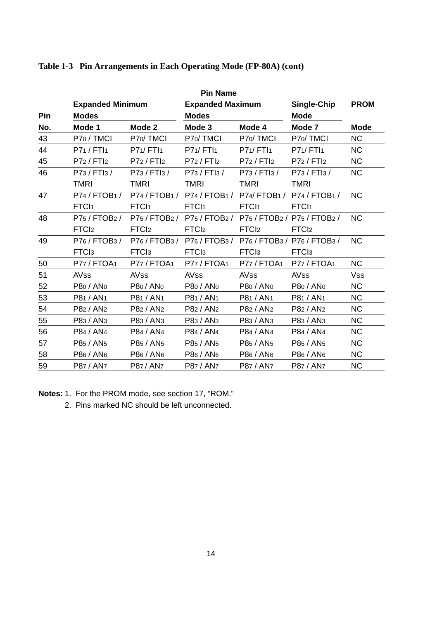|     |                         |                       | <b>Pin Name</b>                             |                       |                       |             |
|-----|-------------------------|-----------------------|---------------------------------------------|-----------------------|-----------------------|-------------|
|     | <b>Expanded Minimum</b> |                       | <b>Expanded Maximum</b>                     |                       | Single-Chip           | <b>PROM</b> |
| Pin | <b>Modes</b>            |                       | <b>Modes</b>                                |                       | <b>Mode</b>           |             |
| No. | Mode 1                  | Mode 2                | Mode 3                                      | Mode 4                | Mode 7                | <b>Mode</b> |
| 43  | P70 / TMCI              | P70/TMCI              | P70/TMCI                                    | P70/TMCI              | P <sub>70</sub> /TMCI | <b>NC</b>   |
| 44  | P71/FTI1                | P71/FTI1              | P71/FTI1                                    | P71/FTI1              | P71/FT11              | NC.         |
| 45  | P72 / FTI2              | P72 / FTI2            | P72 / FTI2                                  | P72 / FTI2            | P72 / FTI2            | NC.         |
| 46  | P73 / FTI3 /            | P73 / FTI3 /          | P73 / FTI3 /                                | P73 / FTI3 /          | P73 / FTI3 /          | <b>NC</b>   |
|     | <b>TMRI</b>             | <b>TMRI</b>           | <b>TMRI</b>                                 | <b>TMRI</b>           | <b>TMRI</b>           |             |
| 47  | P74 / FTOB1 /           |                       | P74/FTOB1/ P74/FTOB1/ P74/FTOB1/ P74/FTOB1/ |                       |                       | NC.         |
|     | FTCI <sub>1</sub>       | FTCI <sub>1</sub>     | FTCI <sub>1</sub>                           | FTCI <sub>1</sub>     | FTC <sub>1</sub>      |             |
| 48  | P75/FTOB2/              |                       | P75/FTOB2/ P75/FTOB2/ P75/FTOB2/ P75/FTOB2/ |                       |                       | <b>NC</b>   |
|     | FTC <sub>l2</sub>       | FTC <sub>l2</sub>     | FTC <sub>l2</sub>                           | FTC <sub>l2</sub>     | FTC <sub>12</sub>     |             |
| 49  | P76 / FTOB3 /           |                       | P76/FTOB3/ P76/FTOB3/ P76/FTOB3/ P76/FTOB3/ |                       |                       | <b>NC</b>   |
|     | FTC <sub>13</sub>       | FTC <sub>l3</sub>     | FTC <sub>13</sub>                           | FTC <sub>13</sub>     | FTC <sub>13</sub>     |             |
| 50  | P77 / FTOA1             | P77 / FTOA1           | P77 / FTOA1                                 | P77 / FTOA1           | P77 / FTOA1           | NC.         |
| 51  | <b>AVSS</b>             | <b>AVSS</b>           | <b>AVSS</b>                                 | <b>AVSS</b>           | AV <sub>SS</sub>      | <b>Vss</b>  |
| 52  | P80 / AN <sub>0</sub>   | P80 / AN0             | P80 / AN <sub>0</sub>                       | P80 / AN <sub>0</sub> | P80 / AN <sub>0</sub> | NC.         |
| 53  | P81 / AN <sub>1</sub>   | P81 / AN <sub>1</sub> | P81 / AN <sub>1</sub>                       | P81 / AN <sub>1</sub> | P81 / AN1             | <b>NC</b>   |
| 54  | P82 / AN2               | P82 / AN <sub>2</sub> | P82 / AN <sub>2</sub>                       | P82 / AN <sub>2</sub> | P82 / AN <sub>2</sub> | NC.         |
| 55  | P83 / AN3               | P83 / AN <sub>3</sub> | P83 / AN <sub>3</sub>                       | P83 / AN <sub>3</sub> | P83 / AN <sub>3</sub> | <b>NC</b>   |
| 56  | P84 / AN4               | P84 / AN4             | P84 / AN4                                   | P84 / AN4             | P84 / AN4             | NC.         |
| 57  | P85 / AN5               | P85 / AN5             | P85 / AN <sub>5</sub>                       | P85 / AN <sub>5</sub> | P85 / AN5             | NC.         |
| 58  | P86 / AN <sub>6</sub>   | P86 / AN <sub>6</sub> | P86 / AN <sub>6</sub>                       | P86 / AN <sub>6</sub> | P86 / AN <sub>6</sub> | NC.         |
| 59  | P87 / AN <sub>7</sub>   | P87 / AN <sub>7</sub> | P87 / AN <sub>7</sub>                       | P87 / AN <sub>7</sub> | P87 / AN <sub>7</sub> | <b>NC</b>   |

#### **Table 1-3 Pin Arrangements in Each Operating Mode (FP-80A) (cont)**

**Notes:** 1. For the PROM mode, see section 17, "ROM."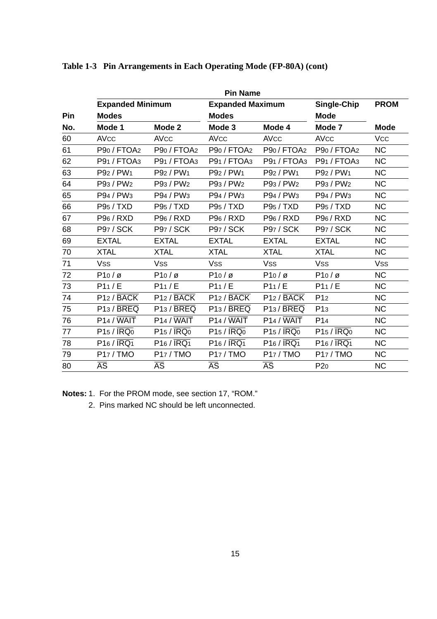|     |                                     |                                     | <b>Pin Name</b>                     |                                     |                                     |                |
|-----|-------------------------------------|-------------------------------------|-------------------------------------|-------------------------------------|-------------------------------------|----------------|
|     | <b>Expanded Minimum</b>             |                                     | <b>Expanded Maximum</b>             |                                     | Single-Chip                         | <b>PROM</b>    |
| Pin | <b>Modes</b>                        |                                     | <b>Modes</b>                        |                                     | <b>Mode</b>                         |                |
| No. | Mode 1                              | Mode 2                              | Mode 3                              | Mode 4                              | Mode 7                              | <b>Mode</b>    |
| 60  | <b>AVcc</b>                         | <b>AVcc</b>                         | <b>AVcc</b>                         | <b>AVCC</b>                         | <b>AVcc</b>                         | <b>Vcc</b>     |
| 61  | P <sub>90</sub> / FTOA <sub>2</sub> | P <sub>90</sub> / FTOA <sub>2</sub> | P <sub>90</sub> / FTO <sub>A2</sub> | P <sub>90</sub> / FTO <sub>A2</sub> | P <sub>90</sub> / FTO <sub>A2</sub> | <b>NC</b>      |
| 62  | P91 / FTOA3                         | P91 / FTOA3                         | P91 / FTOA3                         | P91 / FTOA3                         | P91 / FTOA3                         | <b>NC</b>      |
| 63  | P92 / PW1                           | P92 / PW <sub>1</sub>               | P92 / PW1                           | P92 / PW <sub>1</sub>               | P92 / PW1                           | <b>NC</b>      |
| 64  | P93 / PW <sub>2</sub>               | P93 / PW <sub>2</sub>               | P93 / PW <sub>2</sub>               | P93 / PW <sub>2</sub>               | P93 / PW <sub>2</sub>               | <b>NC</b>      |
| 65  | P94 / PW <sub>3</sub>               | P94 / PW <sub>3</sub>               | P94 / PW <sub>3</sub>               | P94 / PW <sub>3</sub>               | P94 / PW <sub>3</sub>               | N <sub>C</sub> |
| 66  | P95 / TXD                           | P95 / TXD                           | P95 / TXD                           | P95 / TXD                           | P95 / TXD                           | N <sub>C</sub> |
| 67  | P96 / RXD                           | P <sub>96</sub> / R <sub>XD</sub>   | P96 / RXD                           | P96 / RXD                           | P <sub>96</sub> / R <sub>XD</sub>   | <b>NC</b>      |
| 68  | <b>P97 / SCK</b>                    | <b>P97 / SCK</b>                    | <b>P97 / SCK</b>                    | <b>P97 / SCK</b>                    | <b>P97 / SCK</b>                    | NC             |
| 69  | <b>EXTAL</b>                        | <b>EXTAL</b>                        | <b>EXTAL</b>                        | <b>EXTAL</b>                        | <b>EXTAL</b>                        | NC             |
| 70  | <b>XTAL</b>                         | <b>XTAL</b>                         | <b>XTAL</b>                         | <b>XTAL</b>                         | <b>XTAL</b>                         | N <sub>C</sub> |
| 71  | <b>Vss</b>                          | <b>Vss</b>                          | <b>Vss</b>                          | <b>Vss</b>                          | <b>Vss</b>                          | <b>Vss</b>     |
| 72  | $P10/\varnothing$                   | $P10/\varnothing$                   | $P10/\varnothing$                   | $P10/\varnothing$                   | $P10/\varnothing$                   | <b>NC</b>      |
| 73  | P11/E                               | P11/E                               | P11/E                               | P11/E                               | P11/E                               | <b>NC</b>      |
| 74  | $P12 / \overline{BACK}$             | $P12 / \overline{BACK}$             | $P12 / \overline{BACK}$             | $P12 / \overline{BACK}$             | P <sub>12</sub>                     | NC             |
| 75  | P <sub>13</sub> / BREQ              | P <sub>13</sub> / BREQ              | P13 / BREQ                          | P <sub>13</sub> /BREQ               | P <sub>13</sub>                     | NC             |
| 76  | $P14 / \overline{WAIT}$             | $P14 / \overline{WAIT}$             | $P14 / \overline{WAIT}$             | $P14 / \overline{WAIT}$             | P <sub>14</sub>                     | <b>NC</b>      |
| 77  | $P15 / \overline{IRQ0}$             | $P15 / \overline{IRQ0}$             | $P15 / \overline{IRQ0}$             | $P15 / \overline{IRQ0}$             | $P15 / \overline{IRQ0}$             | <b>NC</b>      |
| 78  | $P16 / \overline{IRQ1}$             | $P16 / \overline{IRQ1}$             | $P16 / \overline{IRQ1}$             | $P16 / \overline{IRQ1}$             | $P16 / \overline{IRQ1}$             | <b>NC</b>      |
| 79  | P17 / TMO                           | P17 / TMO                           | P17/TMO                             | P17 / TMO                           | P17/TMO                             | <b>NC</b>      |
| 80  | $\overline{\mathsf{AS}}$            | $\overline{\mathsf{AS}}$            | $\overline{AS}$                     | $\overline{AS}$                     | P20                                 | NC             |

#### **Table 1-3 Pin Arrangements in Each Operating Mode (FP-80A) (cont)**

**Notes:** 1. For the PROM mode, see section 17, "ROM."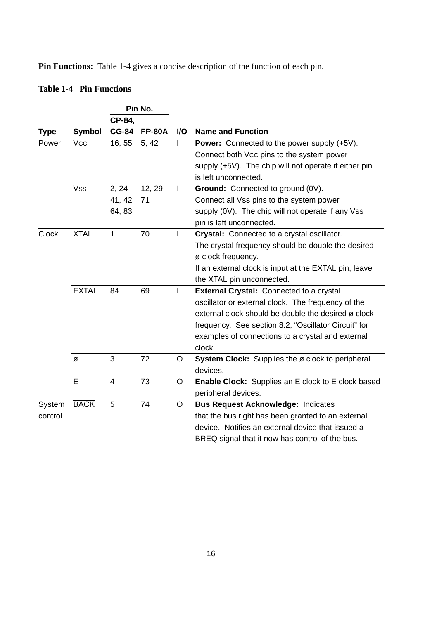**Pin Functions:** Table 1-4 gives a concise description of the function of each pin.

## **Table 1-4 Pin Functions**

|             |              |                | Pin No.       |     |                                                       |
|-------------|--------------|----------------|---------------|-----|-------------------------------------------------------|
|             |              | CP-84.         |               |     |                                                       |
| <b>Type</b> | Symbol       | <b>CG-84</b>   | <b>FP-80A</b> | VO. | <b>Name and Function</b>                              |
| Power       | <b>Vcc</b>   | 16, 55         | 5, 42         | L   | <b>Power:</b> Connected to the power supply (+5V).    |
|             |              |                |               |     | Connect both Vcc pins to the system power             |
|             |              |                |               |     | supply (+5V). The chip will not operate if either pin |
|             |              |                |               |     | is left unconnected.                                  |
|             | <b>Vss</b>   | 2, 24          | 12, 29        | T   | Ground: Connected to ground (0V).                     |
|             |              | 41, 42         | 71            |     | Connect all Vss pins to the system power              |
|             |              | 64, 83         |               |     | supply (0V). The chip will not operate if any Vss     |
|             |              |                |               |     | pin is left unconnected.                              |
| Clock       | <b>XTAL</b>  | 1              | 70            | I.  | Crystal: Connected to a crystal oscillator.           |
|             |              |                |               |     | The crystal frequency should be double the desired    |
|             |              |                |               |     | ø clock frequency.                                    |
|             |              |                |               |     | If an external clock is input at the EXTAL pin, leave |
|             |              |                |               |     | the XTAL pin unconnected.                             |
|             | <b>EXTAL</b> | 84             | 69            | T   | <b>External Crystal:</b> Connected to a crystal       |
|             |              |                |               |     | oscillator or external clock. The frequency of the    |
|             |              |                |               |     | external clock should be double the desired ø clock   |
|             |              |                |               |     | frequency. See section 8.2, "Oscillator Circuit" for  |
|             |              |                |               |     | examples of connections to a crystal and external     |
|             |              |                |               |     | clock.                                                |
|             | Ø            | 3              | 72            | O   | System Clock: Supplies the ø clock to peripheral      |
|             |              |                |               |     | devices.                                              |
|             | E            | $\overline{4}$ | 73            | O   | Enable Clock: Supplies an E clock to E clock based    |
|             |              |                |               |     | peripheral devices.                                   |
| System      | <b>BACK</b>  | 5              | 74            | O   | <b>Bus Request Acknowledge: Indicates</b>             |
| control     |              |                |               |     | that the bus right has been granted to an external    |
|             |              |                |               |     | device. Notifies an external device that issued a     |
|             |              |                |               |     | BREQ signal that it now has control of the bus.       |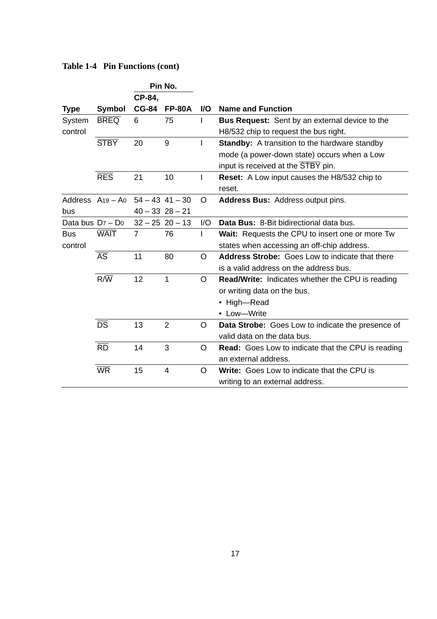|                      |                        |              | Pin No.             |          |                                                           |
|----------------------|------------------------|--------------|---------------------|----------|-----------------------------------------------------------|
|                      |                        | CP-84.       |                     |          |                                                           |
| <b>Type</b>          | Symbol                 | <b>CG-84</b> | <b>FP-80A</b>       | VO.      | Name and Function                                         |
| System               | <b>BREQ</b>            | 6            | 75                  | I        | Bus Request: Sent by an external device to the            |
| control              |                        |              |                     |          | H8/532 chip to request the bus right.                     |
|                      | <b>STBY</b>            | 20           | 9                   | I        | <b>Standby:</b> A transition to the hardware standby      |
|                      |                        |              |                     |          | mode (a power-down state) occurs when a Low               |
|                      |                        |              |                     |          | input is received at the STBY pin.                        |
|                      | <b>RES</b>             | 21           | 10                  | I        | <b>Reset:</b> A Low input causes the H8/532 chip to       |
|                      |                        |              |                     |          | reset.                                                    |
| Address $A_19 - A_0$ |                        |              | $54 - 43$ 41 - 30   | O        | <b>Address Bus: Address output pins.</b>                  |
| bus                  |                        |              | $40 - 33$ 28 $- 21$ |          |                                                           |
| Data bus $Dz - Do$   |                        |              | $32 - 25$ 20 - 13   | 1/O      | Data Bus: 8-Bit bidirectional data bus.                   |
| <b>Bus</b>           | <b>WAIT</b>            | 7            | 76                  | L        | <b>Wait:</b> Requests the CPU to insert one or more Tw    |
| control              |                        |              |                     |          | states when accessing an off-chip address.                |
|                      | $\overline{AS}$        | 11           | 80                  | $\Omega$ | <b>Address Strobe:</b> Goes Low to indicate that there    |
|                      |                        |              |                     |          | is a valid address on the address bus.                    |
|                      | $R/\overline{W}$       | 12           | $\mathbf{1}$        | O        | <b>Read/Write:</b> Indicates whether the CPU is reading   |
|                      |                        |              |                     |          | or writing data on the bus.                               |
|                      |                        |              |                     |          | • High-Read                                               |
|                      |                        |              |                     |          | • Low-Write                                               |
|                      | DS                     | 13           | $\overline{2}$      | O        | Data Strobe: Goes Low to indicate the presence of         |
|                      |                        |              |                     |          | valid data on the data bus.                               |
|                      | $\overline{RD}$        | 14           | 3                   | O        | <b>Read:</b> Goes Low to indicate that the CPU is reading |
|                      |                        |              |                     |          | an external address.                                      |
|                      | $\overline{\text{WR}}$ | 15           | 4                   | O        | Write: Goes Low to indicate that the CPU is               |
|                      |                        |              |                     |          | writing to an external address.                           |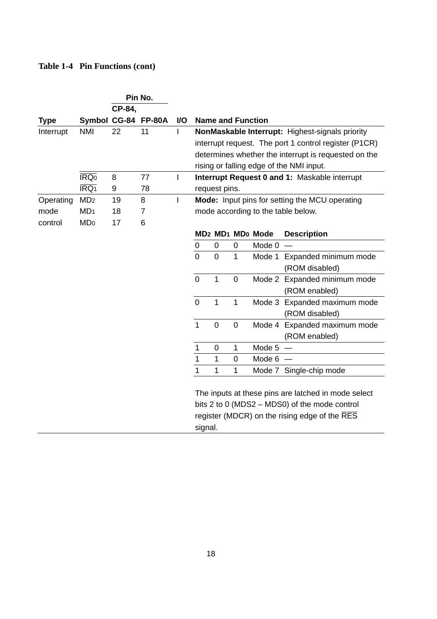|             |                          | Pin No. |                     |     |                                                      |                                                       |                          |                                                      |                                                 |  |  |
|-------------|--------------------------|---------|---------------------|-----|------------------------------------------------------|-------------------------------------------------------|--------------------------|------------------------------------------------------|-------------------------------------------------|--|--|
|             |                          | CP-84.  |                     |     |                                                      |                                                       |                          |                                                      |                                                 |  |  |
| <b>Type</b> |                          |         | Symbol CG-84 FP-80A | VO. |                                                      |                                                       | <b>Name and Function</b> |                                                      |                                                 |  |  |
| Interrupt   | <b>NMI</b>               | 22      | 11                  | I   |                                                      |                                                       |                          |                                                      | NonMaskable Interrupt: Highest-signals priority |  |  |
|             |                          |         |                     |     |                                                      | interrupt request. The port 1 control register (P1CR) |                          |                                                      |                                                 |  |  |
|             |                          |         |                     |     | determines whether the interrupt is requested on the |                                                       |                          |                                                      |                                                 |  |  |
|             |                          |         |                     |     |                                                      | rising or falling edge of the NMI input.              |                          |                                                      |                                                 |  |  |
|             | IRQ <sub>0</sub>         | 8       | 77                  | I   | <b>Interrupt Request 0 and 1: Maskable interrupt</b> |                                                       |                          |                                                      |                                                 |  |  |
|             | $\overline{\text{IRQ1}}$ | 9       | 78                  |     |                                                      | request pins.                                         |                          |                                                      |                                                 |  |  |
| Operating   | MD <sub>2</sub>          | 19      | 8                   | I   | Mode: Input pins for setting the MCU operating       |                                                       |                          |                                                      |                                                 |  |  |
| mode        | MD <sub>1</sub>          | 18      | 7                   |     | mode according to the table below.                   |                                                       |                          |                                                      |                                                 |  |  |
| control     | MD <sub>0</sub>          | 17      | 6                   |     |                                                      |                                                       |                          |                                                      |                                                 |  |  |
|             |                          |         |                     |     |                                                      |                                                       |                          | MD <sub>2</sub> MD <sub>1</sub> MD <sub>0</sub> Mode | <b>Description</b>                              |  |  |
|             |                          |         |                     |     | 0                                                    | 0                                                     | 0                        | Mode 0                                               |                                                 |  |  |
|             |                          |         |                     |     | $\Omega$                                             | $\overline{0}$                                        | $\mathbf{1}$             | Mode 1                                               | Expanded minimum mode                           |  |  |
|             |                          |         |                     |     |                                                      |                                                       |                          |                                                      | (ROM disabled)                                  |  |  |
|             |                          |         |                     |     | $\Omega$                                             | 1                                                     | $\Omega$                 |                                                      | Mode 2 Expanded minimum mode                    |  |  |
|             |                          |         |                     |     |                                                      |                                                       |                          |                                                      | (ROM enabled)                                   |  |  |
|             |                          |         |                     |     | $\Omega$                                             | $\mathbf{1}$                                          | $\mathbf{1}$             |                                                      | Mode 3 Expanded maximum mode                    |  |  |
|             |                          |         |                     |     |                                                      |                                                       |                          |                                                      | (ROM disabled)                                  |  |  |
|             |                          |         |                     |     | $\overline{1}$                                       | $\overline{0}$                                        | $\mathbf 0$              | Mode 4                                               | Expanded maximum mode                           |  |  |
|             |                          |         |                     |     |                                                      |                                                       |                          |                                                      | (ROM enabled)                                   |  |  |
|             |                          |         |                     |     | 1                                                    | 0                                                     | 1                        | Mode 5                                               |                                                 |  |  |
|             |                          |         |                     |     | 1                                                    | 1                                                     | 0                        | Mode 6                                               |                                                 |  |  |
|             |                          |         |                     |     | $\mathbf{1}$                                         | 1                                                     | 1                        |                                                      | Mode 7 Single-chip mode                         |  |  |
|             |                          |         |                     |     |                                                      |                                                       |                          |                                                      |                                                 |  |  |
|             |                          |         |                     |     | The inputs at these pins are latched in mode select  |                                                       |                          |                                                      |                                                 |  |  |
|             |                          |         |                     |     | bits 2 to 0 (MDS2 $-$ MDS0) of the mode control      |                                                       |                          |                                                      |                                                 |  |  |
|             |                          |         |                     |     | register (MDCR) on the rising edge of the RES        |                                                       |                          |                                                      |                                                 |  |  |
|             |                          |         |                     |     | signal.                                              |                                                       |                          |                                                      |                                                 |  |  |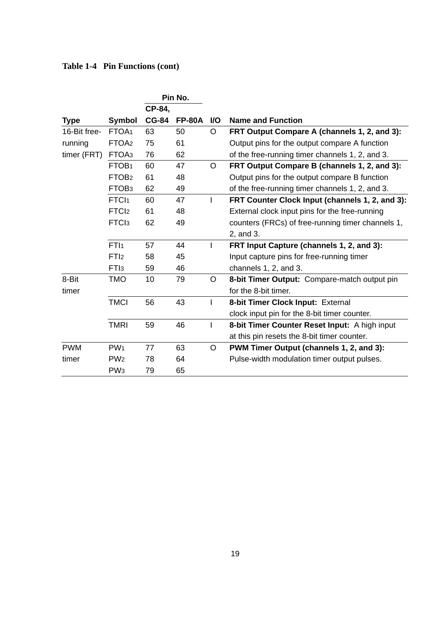|                   | Pin No.      |               |           |                                                   |
|-------------------|--------------|---------------|-----------|---------------------------------------------------|
|                   | CP-84.       |               |           |                                                   |
| <b>Symbol</b>     | <b>CG-84</b> | <b>FP-80A</b> | <b>VO</b> | <b>Name and Function</b>                          |
| FTOA <sub>1</sub> | 63           | 50            | O         | FRT Output Compare A (channels 1, 2, and 3):      |
| FTOA <sub>2</sub> | 75           | 61            |           | Output pins for the output compare A function     |
| FTOA3             | 76           | 62            |           | of the free-running timer channels 1, 2, and 3.   |
| FTOB <sub>1</sub> | 60           | 47            | O         | FRT Output Compare B (channels 1, 2, and 3):      |
| FTOB <sub>2</sub> | 61           | 48            |           | Output pins for the output compare B function     |
| FTOB <sub>3</sub> | 62           | 49            |           | of the free-running timer channels 1, 2, and 3.   |
| FTC <sub>1</sub>  | 60           | 47            | I         | FRT Counter Clock Input (channels 1, 2, and 3):   |
| FTC <sub>12</sub> | 61           | 48            |           | External clock input pins for the free-running    |
| FTCI <sub>3</sub> | 62           | 49            |           | counters (FRCs) of free-running timer channels 1, |
|                   |              |               |           | 2, and 3.                                         |
| FTI <sub>1</sub>  | 57           | 44            | L         | FRT Input Capture (channels 1, 2, and 3):         |
| FTI <sub>2</sub>  | 58           | 45            |           | Input capture pins for free-running timer         |
| FT <sub>I3</sub>  | 59           | 46            |           | channels 1, 2, and 3.                             |
| <b>TMO</b>        | 10           | 79            | O         | 8-bit Timer Output: Compare-match output pin      |
|                   |              |               |           | for the 8-bit timer.                              |
| <b>TMCI</b>       | 56           | 43            | ı         | 8-bit Timer Clock Input: External                 |
|                   |              |               |           | clock input pin for the 8-bit timer counter.      |
| <b>TMRI</b>       | 59           | 46            | I         | 8-bit Timer Counter Reset Input: A high input     |
|                   |              |               |           | at this pin resets the 8-bit timer counter.       |
| PW <sub>1</sub>   | 77           | 63            | O         | PWM Timer Output (channels 1, 2, and 3):          |
| PW <sub>2</sub>   | 78           | 64            |           | Pulse-width modulation timer output pulses.       |
| PW <sub>3</sub>   | 79           | 65            |           |                                                   |
|                   |              |               |           |                                                   |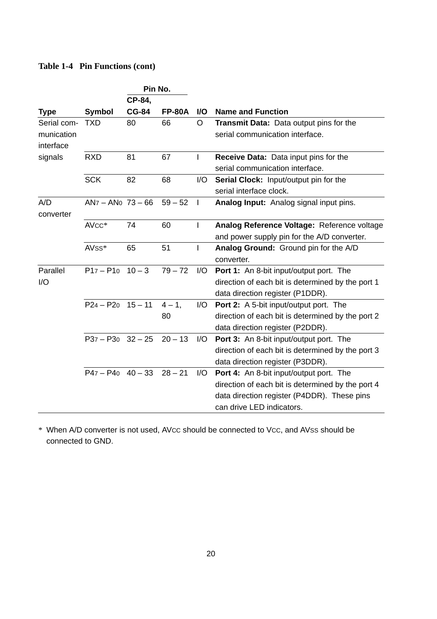| Pin No.     |                     |              |               |              |                                                   |
|-------------|---------------------|--------------|---------------|--------------|---------------------------------------------------|
|             |                     | CP-84.       |               |              |                                                   |
| Type        | Symbol              | <b>CG-84</b> | <b>FP-80A</b> | <b>VO</b>    | <b>Name and Function</b>                          |
| Serial com- | <b>TXD</b>          | 80           | 66            | O            | <b>Transmit Data:</b> Data output pins for the    |
| munication  |                     |              |               |              | serial communication interface.                   |
| interface   |                     |              |               |              |                                                   |
| signals     | <b>RXD</b>          | 81           | 67            | I            | <b>Receive Data:</b> Data input pins for the      |
|             |                     |              |               |              | serial communication interface.                   |
|             | <b>SCK</b>          | 82           | 68            | I/O          | Serial Clock: Input/output pin for the            |
|             |                     |              |               |              | serial interface clock.                           |
| A/D         | $ANz - ANo$ 73 - 66 |              | $59 - 52$     | $\mathbf{I}$ | <b>Analog Input:</b> Analog signal input pins.    |
| converter   |                     |              |               |              |                                                   |
|             | $AVCC*$             | 74           | 60            | ı            | Analog Reference Voltage: Reference voltage       |
|             |                     |              |               |              | and power supply pin for the A/D converter.       |
|             | AV <sub>SS</sub> *  | 65           | 51            | I            | Analog Ground: Ground pin for the A/D             |
|             |                     |              |               |              | converter.                                        |
| Parallel    | $P17 - P10$         | $10 - 3$     | $79 - 72$     | 1/O          | <b>Port 1:</b> An 8-bit input/output port. The    |
| 1/O         |                     |              |               |              | direction of each bit is determined by the port 1 |
|             |                     |              |               |              | data direction register (P1DDR).                  |
|             | $P24 - P20 15 - 11$ |              | $4 - 1$ .     | I/O          | <b>Port 2:</b> A 5-bit input/output port. The     |
|             |                     |              | 80            |              | direction of each bit is determined by the port 2 |
|             |                     |              |               |              | data direction register (P2DDR).                  |
|             | $P37 - P30$ 32 - 25 |              | $20 - 13$     | 1/O          | Port 3: An 8-bit input/output port. The           |
|             |                     |              |               |              | direction of each bit is determined by the port 3 |
|             |                     |              |               |              | data direction register (P3DDR).                  |
|             | $P47 - P40$ 40 - 33 |              | $28 - 21$     | 1/O          | <b>Port 4:</b> An 8-bit input/output port. The    |
|             |                     |              |               |              | direction of each bit is determined by the port 4 |
|             |                     |              |               |              | data direction register (P4DDR). These pins       |
|             |                     |              |               |              | can drive LED indicators.                         |

\* When A/D converter is not used, AVCC should be connected to VCC, and AVSS should be connected to GND.